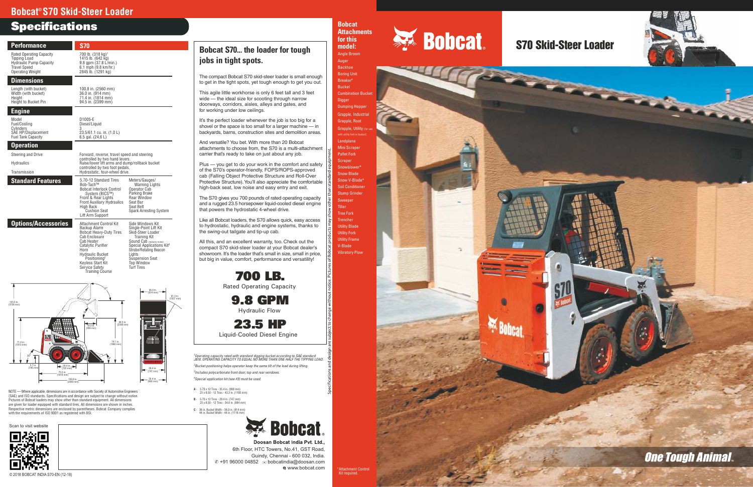700 L B .

Rated Operating Capacity 9.8 GPM Hydraulic Flow

23.5 H P

## Specificati o n s **Bobcat<sup>®</sup> S70 Skid-Steer Loader**

Liquid-Cooled Diesel Engine

The compact Bobcat S70 skid-steer loader is small enough to get in the tight spots, yet tough enough to get you out.

This agile little workhorse is only 6 feet tall and 3 feet wide — the ideal size for scooting through narrow doorw ays, corridors, aisles, alleys and gates, and for working under low ceilings .

It's the perfect loader whenever the job is too big for a shovel or the space is too small for a larger machine — in backyards, barns, construction sites and demolition areas.

And versatile? You bet. With more than 20 Bobcat attachments to choose from, the S70 is a multi-attachment carrier that's ready to take on just about any job.

Plus — you get to do your work in the comfort and safety of the S70's operator-friendly, FOPS/ROPS-appro ved cab (Falling Object Protective Structure and Roll-Over<br>Protective Structure). You'll also appreciate the comfortable high-back seat, low noise and easy entry and exit. **Bobcat S70... t**<br> **jobs in tight s**<br>
The compact Bobcat S<br>
to get in the tight spot<br>
This agile little workhov<br>
wide — the ideal size<br>
doorways, corridors,  $\varepsilon$ <br>
for working under low<br>
It's the perfect loader<br>
shockyards

The S70 gives you 700 pounds of rated operating capacity and a rugged 23.5 horsepower liquid-cooled diesel engine that po wers the hydrostatic 4-wheel driv e .

Like all Bobcat loaders, the S70 allows quick, easy access to hydrostatic, hydraulic and engine systems, thanks to the swing-out tailgate and tip-up cab .

All this, and an excellent warranty, too . Check out the compact S70 skid-steer loader at your Bobcat dealer's showroom. It's the loader that's small in size, small in price, but big in value, comfort, performance and versatility!

| <b>Performance</b>                                                                                                                                                                                                                                                                                                                                                                                                                                                                                                      | <b>S70</b>                                                                                                                                                                                                                                                    |                                                                                                                                                                                                                                                                     |
|-------------------------------------------------------------------------------------------------------------------------------------------------------------------------------------------------------------------------------------------------------------------------------------------------------------------------------------------------------------------------------------------------------------------------------------------------------------------------------------------------------------------------|---------------------------------------------------------------------------------------------------------------------------------------------------------------------------------------------------------------------------------------------------------------|---------------------------------------------------------------------------------------------------------------------------------------------------------------------------------------------------------------------------------------------------------------------|
| <b>Rated Operating Capacity</b><br><b>Tipping Load</b><br><b>Hydraulic Pump Capacity</b><br><b>Travel Speed</b><br><b>Operating Weight</b>                                                                                                                                                                                                                                                                                                                                                                              | 700 lb. (318 kg) <sup>1</sup><br>1415 lb. (642 kg)<br>9.8 gpm (37.8 L/min.)<br>6.1 mph (9.8 km/hr.)<br>2845 lb. (1291 kg)                                                                                                                                     |                                                                                                                                                                                                                                                                     |
| <b>Dimensions</b>                                                                                                                                                                                                                                                                                                                                                                                                                                                                                                       |                                                                                                                                                                                                                                                               |                                                                                                                                                                                                                                                                     |
| Length (with bucket)<br>Width (with bucket)<br>Height<br>Height to Bucket Pin                                                                                                                                                                                                                                                                                                                                                                                                                                           | 100.8 in. (2560 mm)<br>36.0 in. (914 mm)<br>71.4 in. (1814 mm)<br>94.5 in. (2399 mm)                                                                                                                                                                          |                                                                                                                                                                                                                                                                     |
| <b>Engine</b>                                                                                                                                                                                                                                                                                                                                                                                                                                                                                                           |                                                                                                                                                                                                                                                               |                                                                                                                                                                                                                                                                     |
| Model<br>Fuel/Cooling<br>Cylinders                                                                                                                                                                                                                                                                                                                                                                                                                                                                                      | D1005-E<br>Diesel/Liquid<br>3                                                                                                                                                                                                                                 |                                                                                                                                                                                                                                                                     |
| SAE HP/Displacement<br><b>Fuel Tank Capacity</b><br><b>Operation</b>                                                                                                                                                                                                                                                                                                                                                                                                                                                    | 23.5/61.1 cu. in. (1,0 L)<br>6.5 gal. (24,6 L)                                                                                                                                                                                                                |                                                                                                                                                                                                                                                                     |
| Steering and Drive                                                                                                                                                                                                                                                                                                                                                                                                                                                                                                      | Forward, reverse, travel speed and steering                                                                                                                                                                                                                   |                                                                                                                                                                                                                                                                     |
| <b>Hydraulics</b><br>Transmission                                                                                                                                                                                                                                                                                                                                                                                                                                                                                       | controlled by two hand levers.<br>Raise/lower lift arms and dump/rollback bucket<br>controlled by two foot pedals.<br>Hydrostatic, four-wheel drive.                                                                                                          |                                                                                                                                                                                                                                                                     |
| <b>Standard Features</b>                                                                                                                                                                                                                                                                                                                                                                                                                                                                                                | 5.70-12 Standard Tires                                                                                                                                                                                                                                        | Meters/Gauges/                                                                                                                                                                                                                                                      |
|                                                                                                                                                                                                                                                                                                                                                                                                                                                                                                                         | Bob-Tach™<br><b>Bobcat Interlock Control</b><br>System (BICS™)<br>Front & Rear Lights<br><b>Front Auxiliary Hydraulics</b><br>High Back<br><b>Cushion Seat</b><br>Lift Arm Support                                                                            | <b>Warning Lights</b><br>Operator Cab<br>Parking Brake<br><b>Rear Window</b><br>Seat Bar<br>Seat Belt<br><b>Spark Arresting System</b>                                                                                                                              |
| <b>Options/Accessories</b>                                                                                                                                                                                                                                                                                                                                                                                                                                                                                              | Attachment Control Kit<br>Backup Alarm<br><b>Bobcat Heavy-Duty Tires</b><br>Cab Enclosure<br>Cab Heater<br>Catalytic Purifier<br>Horn<br><b>Hydraulic Bucket</b><br>Positioning <sup>2</sup><br>Keyless Start Kit<br>Service Safety<br><b>Training Course</b> | Side Windows Kit<br>Single-Point Lift Kit<br>Skid-Steer Loader<br>Training Kit<br>Sound Cab (reduces noise)<br>Special Applications Kit <sup>3</sup><br><b>Strobe/Rotating Beacon</b><br>Lights<br><b>Suspension Seat</b><br><b>Top Window</b><br><b>Turf Tires</b> |
|                                                                                                                                                                                                                                                                                                                                                                                                                                                                                                                         |                                                                                                                                                                                                                                                               | 36.0 in.<br>$(914$ mm)                                                                                                                                                                                                                                              |
| 123.5 in.<br>$(3136$ mm)                                                                                                                                                                                                                                                                                                                                                                                                                                                                                                |                                                                                                                                                                                                                                                               | 61.3 in.<br>$(1557$ mm)                                                                                                                                                                                                                                             |
|                                                                                                                                                                                                                                                                                                                                                                                                                                                                                                                         |                                                                                                                                                                                                                                                               |                                                                                                                                                                                                                                                                     |
| ö<br>$\frac{570}{2}$<br>71.4 in.<br>$(1813 \, \text{mm})$<br>5.7 in.<br>28.4 in.                                                                                                                                                                                                                                                                                                                                                                                                                                        | 94.5 in.<br>(2399 mm)<br>18.0 in.<br>(458 mm)<br>74.1 in.<br>$(1882 \, \text{mm})$                                                                                                                                                                            |                                                                                                                                                                                                                                                                     |
| $(722 \text{ mm})$<br>$(146$ mm<br>75.5 in.<br>$(1918 \, \text{mm})$                                                                                                                                                                                                                                                                                                                                                                                                                                                    |                                                                                                                                                                                                                                                               | 29.4 in.<br>$(747 \, \text{mm})$                                                                                                                                                                                                                                    |
| 100.8 in.<br>$(2560$ mm)                                                                                                                                                                                                                                                                                                                                                                                                                                                                                                |                                                                                                                                                                                                                                                               | 35.4 in.<br>(900 mm)                                                                                                                                                                                                                                                |
| NOTE - Where applicable, dimensions are in accordance with Society of Automotive Engineers<br>(SAE) and ISO standards. Specifications and design are subject to change without notice.<br>Pictures of Bobcat loaders may show other than standard equipment. All dimensions<br>are given for loader equipped with standard tires. All dimensions are shown in inches.<br>Respective metric dimensions are enclosed by parentheses. Bobcat Company complies<br>with the requirements of ISO 9001 as registered with BSI. |                                                                                                                                                                                                                                                               |                                                                                                                                                                                                                                                                     |

*O p e ra ting capacity rated with standard digging bucket according to SAE standard J818. OPERATING CAPACITY TO EQUAL NO MORE THAN ONE HALF THE TIPPING LOAD. Bucket positioning helps operator keep the same tilt of the load during lifting. Includes polycarbonate front door, top and rear windows. Special application kit (see #3) must be used.*

> Doosan Bobcat India Pvt. Ltd., 6th Floor, HTC Towers, No.41, GST Road, Guindy, Chennai - 600 032, India. © +91 96000 04852 <br>
> <sub>2</sub> bobcatindia@doosan.com www.bobcat.com

**A** - 5.70 x 12 Tires - 35.4 in. (900 mm) 23 x 8.50 - 12 Tires - 43.3 in. (1100 mm)

- **B** 5.70 x 12 Tires 29.4 in. (747 mm) 23 x 8.50 - 12 Tires - 34.8 in. (884 mm)
- **C** 36 in. Bucket Width 36.0 in. (914 mm)



### **he l o a d er f or tough jobs in tight spots.**

**Bobcat Attachments for this** 



# S70 Skid-Steer Loader

**model:** Angle Broom Auger Backhoe Boring Unit <sup>4</sup> Breaker Bucket **Combination Bucket** Digger Dumping Hopper Grapple, Industrial Grapple, Root Grapple, Utility (for with utility fork or bucket Landplane Mini Scraper Pallet Fork **Scraper** Snowblower\* Snow Blade Snow V-Blade\* Soil Conditioner Stump Grinder Sweeper Tiller Tree Fork Trencher Utility Blade Utility Fork Utility Frame V-Blade Vibratory Plow





Scan to visit website